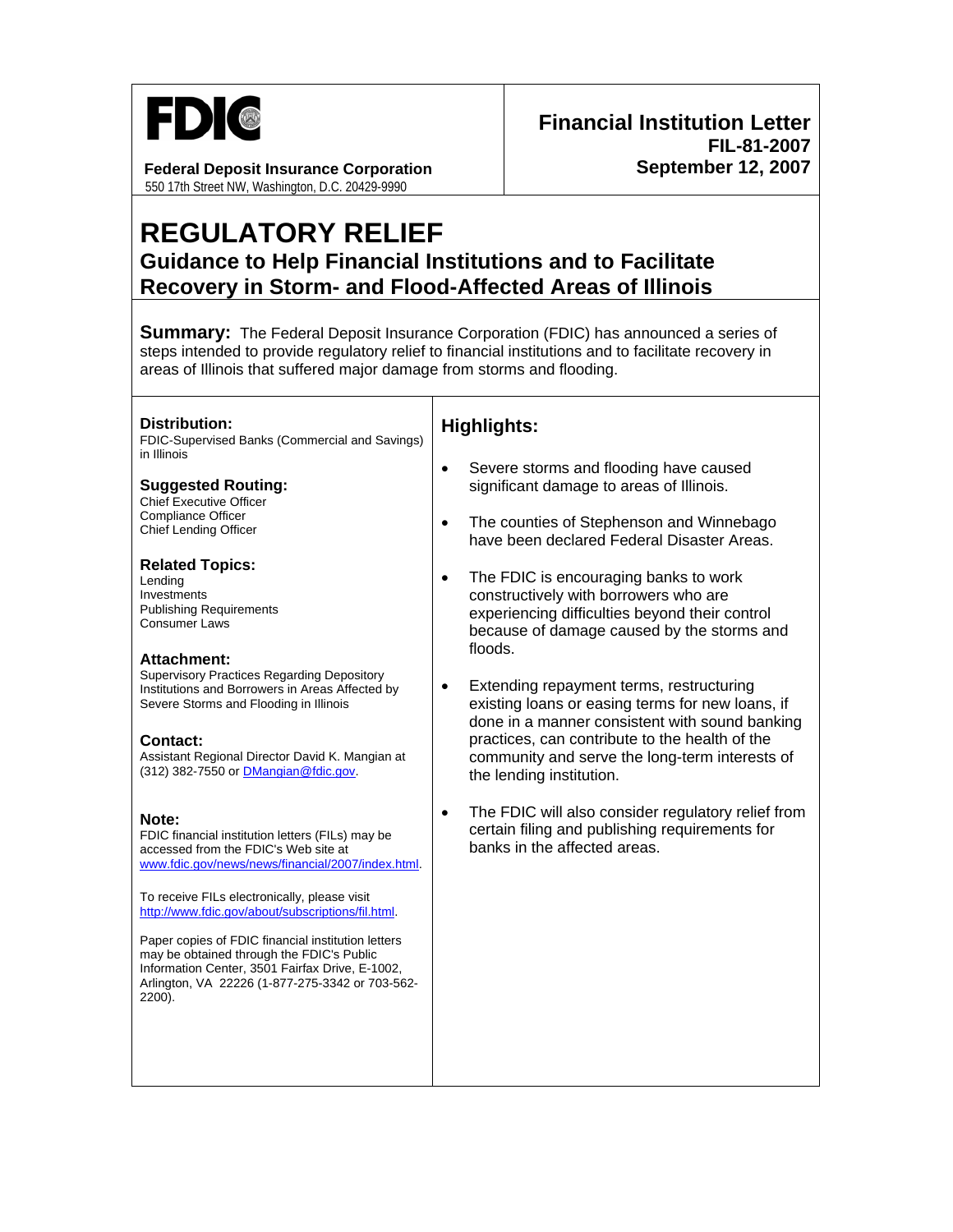

#### **Federal Deposit Insurance Corporation**  550 17th Street NW, Washington, D.C. 20429-9990

# **REGULATORY RELIEF Guidance to Help Financial Institutions and to Facilitate Recovery in Storm- and Flood-Affected Areas of Illinois**

**Summary:** The Federal Deposit Insurance Corporation (FDIC) has announced a series of steps intended to provide regulatory relief to financial institutions and to facilitate recovery in areas of Illinois that suffered major damage from storms and flooding.

**Distribution:** 

FDIC-Supervised Banks (Commercial and Savings) in Illinois

**Suggested Routing:**  Chief Executive Officer

Compliance Officer Chief Lending Officer

**Related Topics:**  Lending

**Investments** Publishing Requirements Consumer Laws

### **Attachment:**

Supervisory Practices Regarding Depository Institutions and Borrowers in Areas Affected by Severe Storms and Flooding in Illinois

#### **Contact:**

Assistant Regional Director David K. Mangian at (312) 382-7550 or [DMangian@fdic.gov](mailto:DMangian@fdic.gov).

#### **Note:**

FDIC financial institution letters (FILs) may be accessed from the FDIC's Web site at [www.fdic.gov/news/news/financial/2007/index.html](http://www.fdic.gov/news/news/financial/2007/index.html).

To receive FILs electronically, please visit [http://www.fdic.gov/about/subscriptions/fil.html.](http://www.fdic.gov/about/subscriptions/index.html)

Paper copies of FDIC financial institution letters may be obtained through the FDIC's Public Information Center, 3501 Fairfax Drive, E-1002, Arlington, VA 22226 (1-877-275-3342 or 703-562- 2200).

## **Highlights:**

- Severe storms and flooding have caused significant damage to areas of Illinois.
- The counties of Stephenson and Winnebago have been declared Federal Disaster Areas.
- The FDIC is encouraging banks to work constructively with borrowers who are experiencing difficulties beyond their control because of damage caused by the storms and floods.
- Extending repayment terms, restructuring existing loans or easing terms for new loans, if done in a manner consistent with sound banking practices, can contribute to the health of the community and serve the long-term interests of the lending institution.
- The FDIC will also consider regulatory relief from certain filing and publishing requirements for banks in the affected areas.